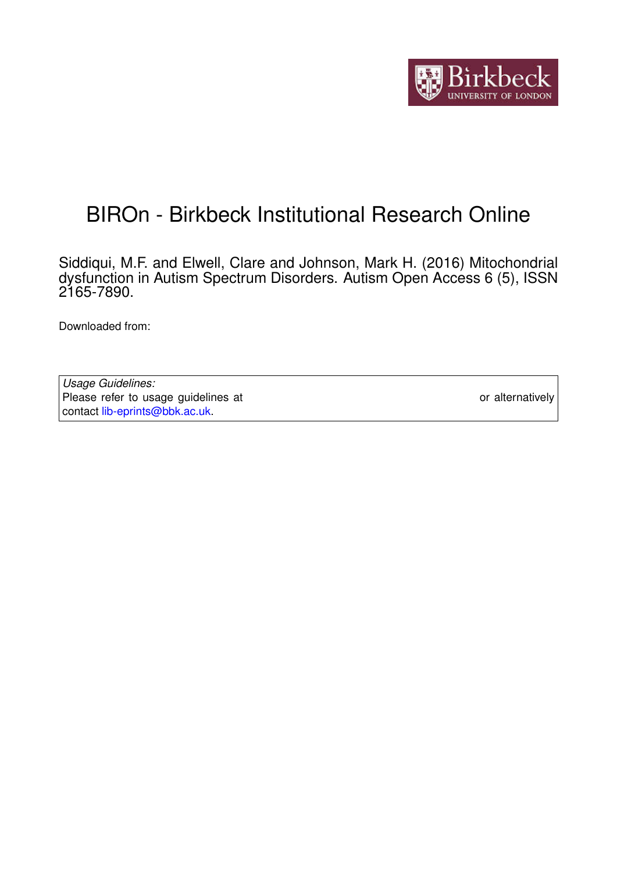

# BIROn - Birkbeck Institutional Research Online

Siddiqui, M.F. and Elwell, Clare and Johnson, Mark H. (2016) Mitochondrial dysfunction in Autism Spectrum Disorders. Autism Open Access 6 (5), ISSN 2165-7890.

Downloaded from: <https://eprints.bbk.ac.uk/id/eprint/16608/>

*Usage Guidelines:* Please refer to usage guidelines at <https://eprints.bbk.ac.uk/policies.html> or alternatively contact [lib-eprints@bbk.ac.uk.](mailto:lib-eprints@bbk.ac.uk)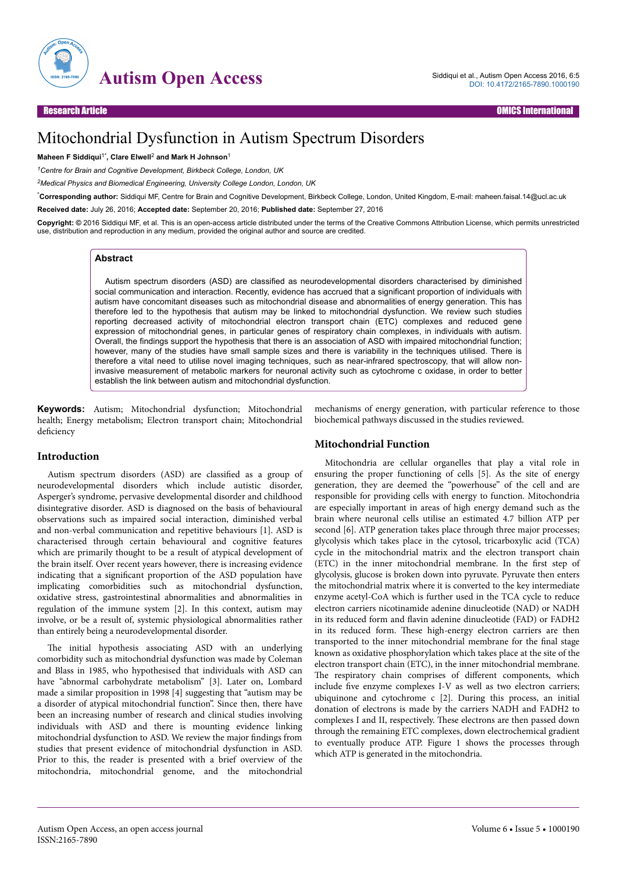

# Mitochondrial Dysfunction in Autism Spectrum Disorders

**Maheen F Siddiqui**1\***, Clare Elwell**<sup>2</sup>  **and Mark H Johnson**<sup>1</sup>

*<sup>1</sup>Centre for Brain and Cognitive Development, Birkbeck College, London, UK*

*<sup>2</sup>Medical Physics and Biomedical Engineering, University College London, London, UK*

\***Corresponding author:** Siddiqui MF, Centre for Brain and Cognitive Development, Birkbeck College, London, United Kingdom, E-mail: maheen.faisal.14@ucl.ac.uk

**Received date:** July 26, 2016; **Accepted date:** September 20, 2016; **Published date:** September 27, 2016

**Copyright: ©** 2016 Siddiqui MF, et al. This is an open-access article distributed under the terms of the Creative Commons Attribution License, which permits unrestricted use, distribution and reproduction in any medium, provided the original author and source are credited.

#### **Abstract**

Autism spectrum disorders (ASD) are classified as neurodevelopmental disorders characterised by diminished social communication and interaction. Recently, evidence has accrued that a significant proportion of individuals with autism have concomitant diseases such as mitochondrial disease and abnormalities of energy generation. This has therefore led to the hypothesis that autism may be linked to mitochondrial dysfunction. We review such studies reporting decreased activity of mitochondrial electron transport chain (ETC) complexes and reduced gene expression of mitochondrial genes, in particular genes of respiratory chain complexes, in individuals with autism. Overall, the findings support the hypothesis that there is an association of ASD with impaired mitochondrial function; however, many of the studies have small sample sizes and there is variability in the techniques utilised. There is therefore a vital need to utilise novel imaging techniques, such as near-infrared spectroscopy, that will allow noninvasive measurement of metabolic markers for neuronal activity such as cytochrome c oxidase, in order to better establish the link between autism and mitochondrial dysfunction.

**Keywords:** Autism; Mitochondrial dysfunction; Mitochondrial health; Energy metabolism; Electron transport chain; Mitochondrial deficiency

mechanisms of energy generation, with particular reference to those biochemical pathways discussed in the studies reviewed.

#### **Introduction**

Autism spectrum disorders (ASD) are classified as a group of neurodevelopmental disorders which include autistic disorder, Asperger's syndrome, pervasive developmental disorder and childhood disintegrative disorder. ASD is diagnosed on the basis of behavioural observations such as impaired social interaction, diminished verbal and non-verbal communication and repetitive behaviours [1]. ASD is characterised through certain behavioural and cognitive features which are primarily thought to be a result of atypical development of the brain itself. Over recent years however, there is increasing evidence indicating that a significant proportion of the ASD population have implicating comorbidities such as mitochondrial dysfunction, oxidative stress, gastrointestinal abnormalities and abnormalities in regulation of the immune system [2]. In this context, autism may involve, or be a result of, systemic physiological abnormalities rather than entirely being a neurodevelopmental disorder.

The initial hypothesis associating ASD with an underlying comorbidity such as mitochondrial dysfunction was made by Coleman and Blass in 1985, who hypothesised that individuals with ASD can have "abnormal carbohydrate metabolism" [3]. Later on, Lombard made a similar proposition in 1998 [4] suggesting that "autism may be a disorder of atypical mitochondrial function". Since then, there have been an increasing number of research and clinical studies involving individuals with ASD and there is mounting evidence linking mitochondrial dysfunction to ASD. We review the major findings from studies that present evidence of mitochondrial dysfunction in ASD. Prior to this, the reader is presented with a brief overview of the mitochondria, mitochondrial genome, and the mitochondrial

# **Mitochondrial Function**

Mitochondria are cellular organelles that play a vital role in ensuring the proper functioning of cells [5]. As the site of energy generation, they are deemed the "powerhouse" of the cell and are responsible for providing cells with energy to function. Mitochondria are especially important in areas of high energy demand such as the brain where neuronal cells utilise an estimated 4.7 billion ATP per second [6]. ATP generation takes place through three major processes; glycolysis which takes place in the cytosol, tricarboxylic acid (TCA) cycle in the mitochondrial matrix and the electron transport chain (ETC) in the inner mitochondrial membrane. In the first step of glycolysis, glucose is broken down into pyruvate. Pyruvate then enters the mitochondrial matrix where it is converted to the key intermediate enzyme acetyl-CoA which is further used in the TCA cycle to reduce electron carriers nicotinamide adenine dinucleotide (NAD) or NADH in its reduced form and flavin adenine dinucleotide (FAD) or FADH2 in its reduced form. Нese high-energy electron carriers are then transported to the inner mitochondrial membrane for the final stage known as oxidative phosphorylation which takes place at the site of the electron transport chain (ETC), in the inner mitochondrial membrane. The respiratory chain comprises of different components, which include five enzyme complexes I-V as well as two electron carriers; ubiquinone and cytochrome c [2]. During this process, an initial donation of electrons is made by the carriers NADH and FADH2 to complexes I and II, respectively. Нese electrons are then passed down through the remaining ETC complexes, down electrochemical gradient to eventually produce ATP. Figure 1 shows the processes through which ATP is generated in the mitochondria.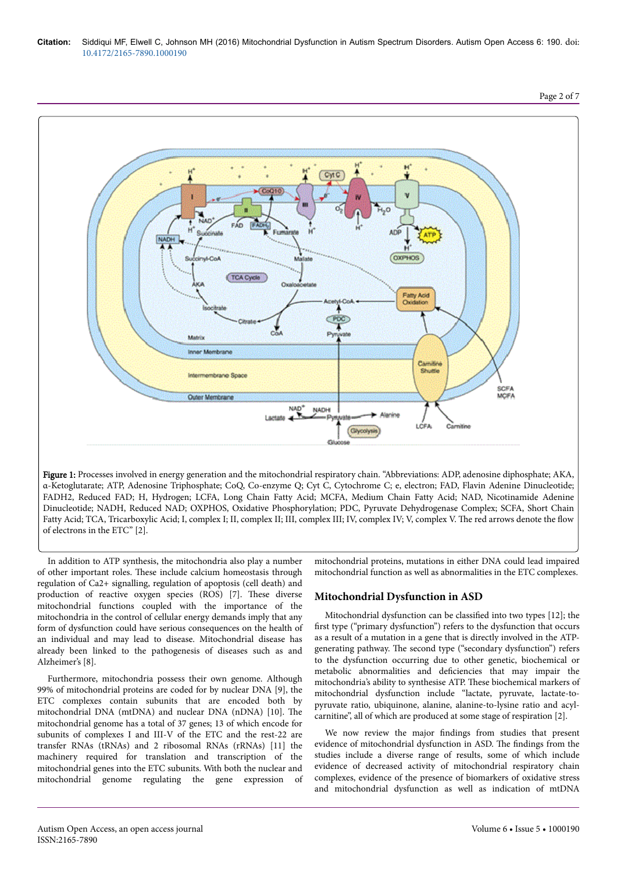**Citation:** Siddiqui MF, Elwell C, Johnson MH (2016) Mitochondrial Dysfunction in Autism Spectrum Disorders. Autism Open Access 6: 190. doi: [10.4172/2165-7890.1000190](http://dx.doi.org/10.4172/2165-7890.1000190)





Figure 1: Processes involved in energy generation and the mitochondrial respiratory chain. "Abbreviations: ADP, adenosine diphosphate; AKA, α-Ketoglutarate; ATP, Adenosine Triphosphate; CoQ, Co-enzyme Q; Cyt C, Cytochrome C; e, electron; FAD, Flavin Adenine Dinucleotide; FADH2, Reduced FAD; H, Hydrogen; LCFA, Long Chain Fatty Acid; MCFA, Medium Chain Fatty Acid; NAD, Nicotinamide Adenine Dinucleotide; NADH, Reduced NAD; OXPHOS, Oxidative Phosphorylation; PDC, Pyruvate Dehydrogenase Complex; SCFA, Short Chain Fatty Acid; TCA, Tricarboxylic Acid; I, complex I; II, complex II; III, complex III; IV, complex IV; V, complex V. The red arrows denote the flow of electrons in the ETC" [2].

In addition to ATP synthesis, the mitochondria also play a number of other important roles. Нese include calcium homeostasis through regulation of Ca2+ signalling, regulation of apoptosis (cell death) and production of reactive oxygen species (ROS) [7]. Нese diverse mitochondrial functions coupled with the importance of the mitochondria in the control of cellular energy demands imply that any form of dysfunction could have serious consequences on the health of an individual and may lead to disease. Mitochondrial disease has already been linked to the pathogenesis of diseases such as and Alzheimer's [8].

Furthermore, mitochondria possess their own genome. Although 99% of mitochondrial proteins are coded for by nuclear DNA [9], the ETC complexes contain subunits that are encoded both by mitochondrial DNA (mtDNA) and nuclear DNA (nDNA) [10]. Нe mitochondrial genome has a total of 37 genes; 13 of which encode for subunits of complexes I and III-V of the ETC and the rest-22 are transfer RNAs (tRNAs) and 2 ribosomal RNAs (rRNAs) [11] the machinery required for translation and transcription of the mitochondrial genes into the ETC subunits. With both the nuclear and mitochondrial genome regulating the gene expression of mitochondrial proteins, mutations in either DNA could lead impaired mitochondrial function as well as abnormalities in the ETC complexes.

# **Mitochondrial Dysfunction in ASD**

Mitochondrial dysfunction can be classified into two types [12]; the first type ("primary dysfunction") refers to the dysfunction that occurs as a result of a mutation in a gene that is directly involved in the ATPgenerating pathway. Нe second type ("secondary dysfunction") refers to the dysfunction occurring due to other genetic, biochemical or metabolic abnormalities and deficiencies that may impair the mitochondria's ability to synthesise ATP. Нese biochemical markers of mitochondrial dysfunction include "lactate, pyruvate, lactate-topyruvate ratio, ubiquinone, alanine, alanine-to-lysine ratio and acylcarnitine", all of which are produced at some stage of respiration [2].

We now review the major findings from studies that present evidence of mitochondrial dysfunction in ASD. Нe findings from the studies include a diverse range of results, some of which include evidence of decreased activity of mitochondrial respiratory chain complexes, evidence of the presence of biomarkers of oxidative stress and mitochondrial dysfunction as well as indication of mtDNA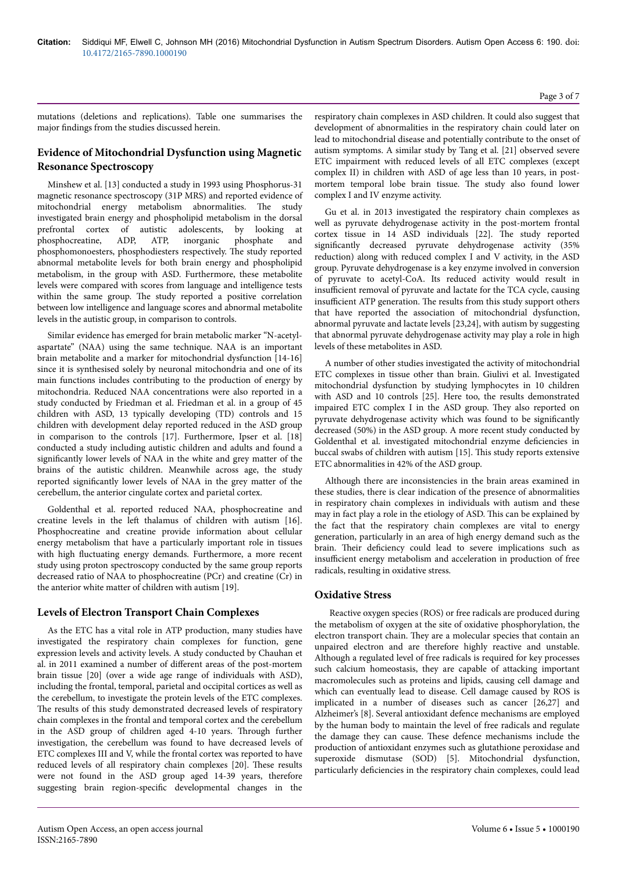mutations (deletions and replications). Table one summarises the major findings from the studies discussed herein.

# **Evidence of Mitochondrial Dysfunction using Magnetic Resonance Spectroscopy**

Minshew et al. [13] conducted a study in 1993 using Phosphorus-31 magnetic resonance spectroscopy (31P MRS) and reported evidence of mitochondrial energy metabolism abnormalities. Нe study investigated brain energy and phospholipid metabolism in the dorsal prefrontal cortex of autistic adolescents, by looking at phosphocreatine, ADP, ATP, inorganic phosphate and phosphomonoesters, phosphodiesters respectively. Нe study reported abnormal metabolite levels for both brain energy and phospholipid metabolism, in the group with ASD. Furthermore, these metabolite levels were compared with scores from language and intelligence tests within the same group. Нe study reported a positive correlation between low intelligence and language scores and abnormal metabolite levels in the autistic group, in comparison to controls.

Similar evidence has emerged for brain metabolic marker "N-acetylaspartate" (NAA) using the same technique. NAA is an important brain metabolite and a marker for mitochondrial dysfunction [14-16] since it is synthesised solely by neuronal mitochondria and one of its main functions includes contributing to the production of energy by mitochondria. Reduced NAA concentrations were also reported in a study conducted by Friedman et al. Friedman et al. in a group of 45 children with ASD, 13 typically developing (TD) controls and 15 children with development delay reported reduced in the ASD group in comparison to the controls [17]. Furthermore, Ipser et al. [18] conducted a study including autistic children and adults and found a significantly lower levels of NAA in the white and grey matter of the brains of the autistic children. Meanwhile across age, the study reported significantly lower levels of NAA in the grey matter of the cerebellum, the anterior cingulate cortex and parietal cortex.

Goldenthal et al. reported reduced NAA, phosphocreatine and creatine levels in the left thalamus of children with autism [16]. Phosphocreatine and creatine provide information about cellular energy metabolism that have a particularly important role in tissues with high fluctuating energy demands. Furthermore, a more recent study using proton spectroscopy conducted by the same group reports decreased ratio of NAA to phosphocreatine (PCr) and creatine (Cr) in the anterior white matter of children with autism [19].

#### **Levels of Electron Transport Chain Complexes**

As the ETC has a vital role in ATP production, many studies have investigated the respiratory chain complexes for function, gene expression levels and activity levels. A study conducted by Chauhan et al. in 2011 examined a number of different areas of the post-mortem brain tissue [20] (over a wide age range of individuals with ASD), including the frontal, temporal, parietal and occipital cortices as well as the cerebellum, to investigate the protein levels of the ETC complexes. The results of this study demonstrated decreased levels of respiratory chain complexes in the frontal and temporal cortex and the cerebellum in the ASD group of children aged 4-10 years. Нrough further investigation, the cerebellum was found to have decreased levels of ETC complexes III and V, while the frontal cortex was reported to have reduced levels of all respiratory chain complexes [20]. Нese results were not found in the ASD group aged 14-39 years, therefore suggesting brain region-specific developmental changes in the

respiratory chain complexes in ASD children. It could also suggest that development of abnormalities in the respiratory chain could later on lead to mitochondrial disease and potentially contribute to the onset of autism symptoms. A similar study by Tang et al. [21] observed severe ETC impairment with reduced levels of all ETC complexes (except complex II) in children with ASD of age less than 10 years, in postmortem temporal lobe brain tissue. Нe study also found lower complex I and IV enzyme activity.

Gu et al. in 2013 investigated the respiratory chain complexes as well as pyruvate dehydrogenase activity in the post-mortem frontal cortex tissue in 14 ASD individuals [22]. Нe study reported significantly decreased pyruvate dehydrogenase activity (35% reduction) along with reduced complex I and V activity, in the ASD group. Pyruvate dehydrogenase is a key enzyme involved in conversion of pyruvate to acetyl-CoA. Its reduced activity would result in insufficient removal of pyruvate and lactate for the TCA cycle, causing insufficient ATP generation. The results from this study support others that have reported the association of mitochondrial dysfunction, abnormal pyruvate and lactate levels [23,24], with autism by suggesting that abnormal pyruvate dehydrogenase activity may play a role in high levels of these metabolites in ASD.

A number of other studies investigated the activity of mitochondrial ETC complexes in tissue other than brain. Giulivi et al. Investigated mitochondrial dysfunction by studying lymphocytes in 10 children with ASD and 10 controls [25]. Here too, the results demonstrated impaired ETC complex I in the ASD group. They also reported on pyruvate dehydrogenase activity which was found to be significantly decreased (50%) in the ASD group. A more recent study conducted by Goldenthal et al. investigated mitochondrial enzyme deficiencies in buccal swabs of children with autism [15]. Нis study reports extensive ETC abnormalities in 42% of the ASD group.

Although there are inconsistencies in the brain areas examined in these studies, there is clear indication of the presence of abnormalities in respiratory chain complexes in individuals with autism and these may in fact play a role in the etiology of ASD. Нis can be explained by the fact that the respiratory chain complexes are vital to energy generation, particularly in an area of high energy demand such as the brain. Their deficiency could lead to severe implications such as insufficient energy metabolism and acceleration in production of free radicals, resulting in oxidative stress.

#### **Oxidative Stress**

Reactive oxygen species (ROS) or free radicals are produced during the metabolism of oxygen at the site of oxidative phosphorylation, the electron transport chain. They are a molecular species that contain an unpaired electron and are therefore highly reactive and unstable. Although a regulated level of free radicals is required for key processes such calcium homeostasis, they are capable of attacking important macromolecules such as proteins and lipids, causing cell damage and which can eventually lead to disease. Cell damage caused by ROS is implicated in a number of diseases such as cancer [26,27] and Alzheimer's [8]. Several antioxidant defence mechanisms are employed by the human body to maintain the level of free radicals and regulate the damage they can cause. Нese defence mechanisms include the production of antioxidant enzymes such as glutathione peroxidase and superoxide dismutase (SOD) [5]. Mitochondrial dysfunction, particularly deficiencies in the respiratory chain complexes, could lead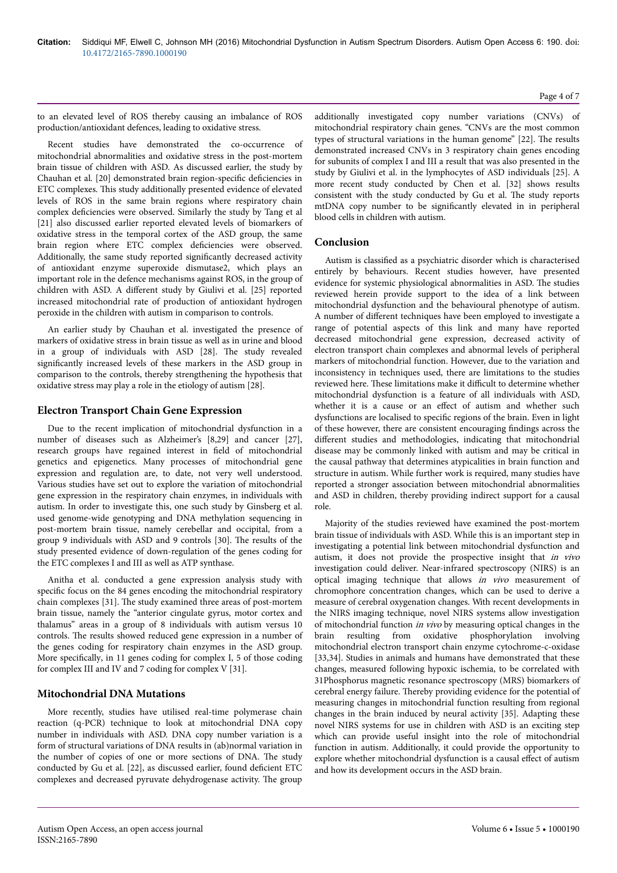to an elevated level of ROS thereby causing an imbalance of ROS production/antioxidant defences, leading to oxidative stress.

Recent studies have demonstrated the co-occurrence of mitochondrial abnormalities and oxidative stress in the post-mortem brain tissue of children with ASD. As discussed earlier, the study by Chauhan et al. [20] demonstrated brain region-specific deficiencies in ETC complexes. Нis study additionally presented evidence of elevated levels of ROS in the same brain regions where respiratory chain complex deficiencies were observed. Similarly the study by Tang et al [21] also discussed earlier reported elevated levels of biomarkers of oxidative stress in the temporal cortex of the ASD group, the same brain region where ETC complex deficiencies were observed. Additionally, the same study reported significantly decreased activity of antioxidant enzyme superoxide dismutase2, which plays an important role in the defence mechanisms against ROS, in the group of children with ASD. A different study by Giulivi et al. [25] reported increased mitochondrial rate of production of antioxidant hydrogen peroxide in the children with autism in comparison to controls.

An earlier study by Chauhan et al. investigated the presence of markers of oxidative stress in brain tissue as well as in urine and blood in a group of individuals with ASD [28]. Нe study revealed significantly increased levels of these markers in the ASD group in comparison to the controls, thereby strengthening the hypothesis that oxidative stress may play a role in the etiology of autism [28].

#### **Electron Transport Chain Gene Expression**

Due to the recent implication of mitochondrial dysfunction in a number of diseases such as Alzheimer's [8,29] and cancer [27], research groups have regained interest in field of mitochondrial genetics and epigenetics. Many processes of mitochondrial gene expression and regulation are, to date, not very well understood. Various studies have set out to explore the variation of mitochondrial gene expression in the respiratory chain enzymes, in individuals with autism. In order to investigate this, one such study by Ginsberg et al. used genome-wide genotyping and DNA methylation sequencing in post-mortem brain tissue, namely cerebellar and occipital, from a group 9 individuals with ASD and 9 controls [30]. Нe results of the study presented evidence of down-regulation of the genes coding for the ETC complexes I and III as well as ATP synthase.

Anitha et al. conducted a gene expression analysis study with specific focus on the 84 genes encoding the mitochondrial respiratory chain complexes [31]. Нe study examined three areas of post-mortem brain tissue, namely the "anterior cingulate gyrus, motor cortex and thalamus" areas in a group of 8 individuals with autism versus 10 controls. Нe results showed reduced gene expression in a number of the genes coding for respiratory chain enzymes in the ASD group. More specifically, in 11 genes coding for complex I, 5 of those coding for complex III and IV and 7 coding for complex V [31].

# **Mitochondrial DNA Mutations**

More recently, studies have utilised real-time polymerase chain reaction (q-PCR) technique to look at mitochondrial DNA copy number in individuals with ASD. DNA copy number variation is a form of structural variations of DNA results in (ab)normal variation in the number of copies of one or more sections of DNA. Нe study conducted by Gu et al. [22], as discussed earlier, found deficient ETC complexes and decreased pyruvate dehydrogenase activity. Нe group

additionally investigated copy number variations (CNVs) of mitochondrial respiratory chain genes. "CNVs are the most common types of structural variations in the human genome" [22]. Нe results demonstrated increased CNVs in 3 respiratory chain genes encoding for subunits of complex I and III a result that was also presented in the study by Giulivi et al. in the lymphocytes of ASD individuals [25]. A more recent study conducted by Chen et al. [32] shows results consistent with the study conducted by Gu et al. Нe study reports mtDNA copy number to be significantly elevated in in peripheral blood cells in children with autism.

### **Conclusion**

Autism is classified as a psychiatric disorder which is characterised entirely by behaviours. Recent studies however, have presented evidence for systemic physiological abnormalities in ASD. Нe studies reviewed herein provide support to the idea of a link between mitochondrial dysfunction and the behavioural phenotype of autism. A number of different techniques have been employed to investigate a range of potential aspects of this link and many have reported decreased mitochondrial gene expression, decreased activity of electron transport chain complexes and abnormal levels of peripheral markers of mitochondrial function. However, due to the variation and inconsistency in techniques used, there are limitations to the studies reviewed here. These limitations make it difficult to determine whether mitochondrial dysfunction is a feature of all individuals with ASD, whether it is a cause or an effect of autism and whether such dysfunctions are localised to specific regions of the brain. Even in light of these however, there are consistent encouraging findings across the different studies and methodologies, indicating that mitochondrial disease may be commonly linked with autism and may be critical in the causal pathway that determines atypicalities in brain function and structure in autism. While further work is required, many studies have reported a stronger association between mitochondrial abnormalities and ASD in children, thereby providing indirect support for a causal role.

Majority of the studies reviewed have examined the post-mortem brain tissue of individuals with ASD. While this is an important step in investigating a potential link between mitochondrial dysfunction and autism, it does not provide the prospective insight that in vivo investigation could deliver. Near-infrared spectroscopy (NIRS) is an optical imaging technique that allows in vivo measurement of chromophore concentration changes, which can be used to derive a measure of cerebral oxygenation changes. With recent developments in the NIRS imaging technique, novel NIRS systems allow investigation of mitochondrial function *in vivo* by measuring optical changes in the brain resulting from oxidative phosphorylation involving brain resulting from oxidative phosphorylation involving mitochondrial electron transport chain enzyme cytochrome-c-oxidase [33,34]. Studies in animals and humans have demonstrated that these changes, measured following hypoxic ischemia, to be correlated with 31Phosphorus magnetic resonance spectroscopy (MRS) biomarkers of cerebral energy failure. Thereby providing evidence for the potential of measuring changes in mitochondrial function resulting from regional changes in the brain induced by neural activity [35]. Adapting these novel NIRS systems for use in children with ASD is an exciting step which can provide useful insight into the role of mitochondrial function in autism. Additionally, it could provide the opportunity to explore whether mitochondrial dysfunction is a causal effect of autism and how its development occurs in the ASD brain.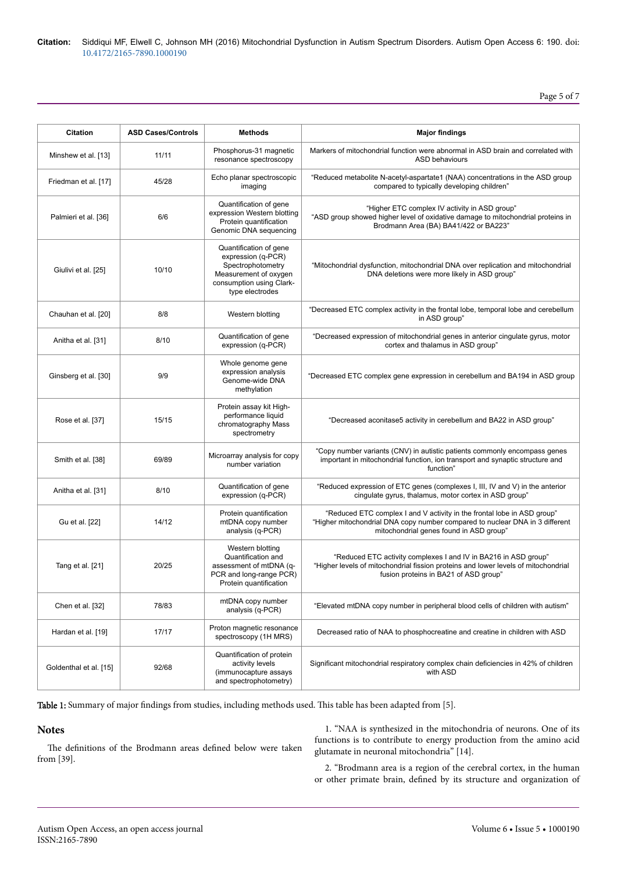**Citation:** Siddiqui MF, Elwell C, Johnson MH (2016) Mitochondrial Dysfunction in Autism Spectrum Disorders. Autism Open Access 6: 190. doi: [10.4172/2165-7890.1000190](http://dx.doi.org/10.4172/2165-7890.1000190)

Page 5 of 7

| <b>Citation</b>        | <b>ASD Cases/Controls</b> | <b>Methods</b>                                                                                                                            | <b>Major findings</b>                                                                                                                                                                              |
|------------------------|---------------------------|-------------------------------------------------------------------------------------------------------------------------------------------|----------------------------------------------------------------------------------------------------------------------------------------------------------------------------------------------------|
| Minshew et al. [13]    | 11/11                     | Phosphorus-31 magnetic<br>resonance spectroscopy                                                                                          | Markers of mitochondrial function were abnormal in ASD brain and correlated with<br><b>ASD behaviours</b>                                                                                          |
| Friedman et al. [17]   | 45/28                     | Echo planar spectroscopic<br>imaging                                                                                                      | "Reduced metabolite N-acetyl-aspartate1 (NAA) concentrations in the ASD group<br>compared to typically developing children"                                                                        |
| Palmieri et al. [36]   | 6/6                       | Quantification of gene<br>expression Western blotting<br>Protein quantification<br>Genomic DNA sequencing                                 | "Higher ETC complex IV activity in ASD group"<br>"ASD group showed higher level of oxidative damage to mitochondrial proteins in<br>Brodmann Area (BA) BA41/422 or BA223"                          |
| Giulivi et al. [25]    | 10/10                     | Quantification of gene<br>expression (q-PCR)<br>Spectrophotometry<br>Measurement of oxygen<br>consumption using Clark-<br>type electrodes | "Mitochondrial dysfunction, mitochondrial DNA over replication and mitochondrial<br>DNA deletions were more likely in ASD group"                                                                   |
| Chauhan et al. [20]    | 8/8                       | Western blotting                                                                                                                          | "Decreased ETC complex activity in the frontal lobe, temporal lobe and cerebellum<br>in ASD group"                                                                                                 |
| Anitha et al. [31]     | 8/10                      | Quantification of gene<br>expression (q-PCR)                                                                                              | "Decreased expression of mitochondrial genes in anterior cingulate gyrus, motor<br>cortex and thalamus in ASD group"                                                                               |
| Ginsberg et al. [30]   | 9/9                       | Whole genome gene<br>expression analysis<br>Genome-wide DNA<br>methylation                                                                | "Decreased ETC complex gene expression in cerebellum and BA194 in ASD group                                                                                                                        |
| Rose et al. [37]       | 15/15                     | Protein assay kit High-<br>performance liquid<br>chromatography Mass<br>spectrometry                                                      | "Decreased aconitase5 activity in cerebellum and BA22 in ASD group"                                                                                                                                |
| Smith et al. [38]      | 69/89                     | Microarray analysis for copy<br>number variation                                                                                          | "Copy number variants (CNV) in autistic patients commonly encompass genes<br>important in mitochondrial function, ion transport and synaptic structure and<br>function"                            |
| Anitha et al. [31]     | 8/10                      | Quantification of gene<br>expression (q-PCR)                                                                                              | "Reduced expression of ETC genes (complexes I, III, IV and V) in the anterior<br>cingulate gyrus, thalamus, motor cortex in ASD group"                                                             |
| Gu et al. [22]         | 14/12                     | Protein quantification<br>mtDNA copy number<br>analysis (q-PCR)                                                                           | "Reduced ETC complex I and V activity in the frontal lobe in ASD group"<br>"Higher mitochondrial DNA copy number compared to nuclear DNA in 3 different<br>mitochondrial genes found in ASD group" |
| Tang et al. [21]       | 20/25                     | Western blotting<br>Quantification and<br>assessment of mtDNA (q-<br>PCR and long-range PCR)<br>Protein quantification                    | "Reduced ETC activity complexes I and IV in BA216 in ASD group"<br>"Higher levels of mitochondrial fission proteins and lower levels of mitochondrial<br>fusion proteins in BA21 of ASD group"     |
| Chen et al. [32]       | 78/83                     | mtDNA copy number<br>analysis (q-PCR)                                                                                                     | "Elevated mtDNA copy number in peripheral blood cells of children with autism"                                                                                                                     |
| Hardan et al. [19]     | 17/17                     | Proton magnetic resonance<br>spectroscopy (1H MRS)                                                                                        | Decreased ratio of NAA to phosphocreatine and creatine in children with ASD                                                                                                                        |
| Goldenthal et al. [15] | 92/68                     | Quantification of protein<br>activity levels<br>(immunocapture assays<br>and spectrophotometry)                                           | Significant mitochondrial respiratory complex chain deficiencies in 42% of children<br>with ASD                                                                                                    |

Table 1: Summary of major findings from studies, including methods used. This table has been adapted from [5].

#### **Notes**

The definitions of the Brodmann areas defined below were taken from [39].

1. "NAA is synthesized in the mitochondria of neurons. One of its functions is to contribute to energy production from the amino acid glutamate in neuronal mitochondria" [14].

2. "Brodmann area is a region of the cerebral cortex, in the human or other primate brain, defined by its structure and organization of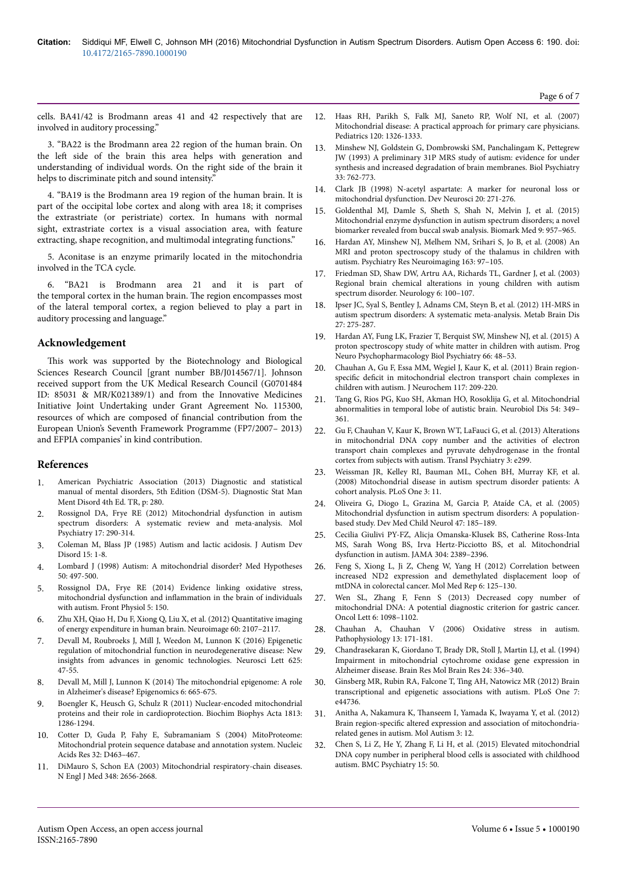cells. BA41/42 is Brodmann areas 41 and 42 respectively that are involved in auditory processing."

3. "BA22 is the Brodmann area 22 region of the human brain. On the left side of the brain this area helps with generation and understanding of individual words. On the right side of the brain it helps to discriminate pitch and sound intensity."

4. "BA19 is the Brodmann area 19 region of the human brain. It is part of the occipital lobe cortex and along with area 18; it comprises the extrastriate (or peristriate) cortex. In humans with normal sight, extrastriate cortex is a visual association area, with feature extracting, shape recognition, and multimodal integrating functions."

5. Aconitase is an enzyme primarily located in the mitochondria involved in the TCA cycle.

6. "BA21 is Brodmann area 21 and it is part of the temporal cortex in the human brain. Нe region encompasses most of the lateral temporal cortex, a region believed to play a part in auditory processing and language."

#### **Acknowledgement**

This work was supported by the Biotechnology and Biological Sciences Research Council [grant number BB/J014567/1]. Johnson received support from the UK Medical Research Council (G0701484 ID: 85031 & MR/K021389/1) and from the Innovative Medicines Initiative Joint Undertaking under Grant Agreement No. 115300, resources of which are composed of financial contribution from the European Union's Seventh Framework Programme (FP7/2007– 2013) and EFPIA companies' in kind contribution.

#### **References**

- 1. American Psychiatric Association (2013) Diagnostic and statistical manual of mental disorders, 5th Edition (DSM-5). Diagnostic Stat Man Ment Disord 4th Ed. TR, p: 280.
- 2. [Rossignol DA, Frye RE \(2012\) Mitochondrial dysfunction in autism](https://dx.doi.org/10.1038/mp.2010.136) [spectrum disorders: A systematic review and meta-analysis. Mol](https://dx.doi.org/10.1038/mp.2010.136) [Psychiatry 17: 290-314.](https://dx.doi.org/10.1038/mp.2010.136)
- 3. [Coleman M, Blass JP \(1985\) Autism and lactic acidosis. J Autism Dev](http://dx.doi.org/10.1007/BF01837894) [Disord 15: 1-8.](http://dx.doi.org/10.1007/BF01837894)
- [Lombard J \(1998\) Autism: A mitochondrial disorder? Med Hypotheses](http://www.sciencedirect.com/science/article/pii/S0306987798902705) [50: 497-500.](http://www.sciencedirect.com/science/article/pii/S0306987798902705)
- 5. [Rossignol DA, Frye RE \(2014\) Evidence linking oxidative stress,](https://dx.doi.org/10.3389/fphys.2014.00150) [mitochondrial dysfunction and](https://dx.doi.org/10.3389/fphys.2014.00150) inflammation in the brain of individuals [with autism. Front Physiol 5: 150.](https://dx.doi.org/10.3389/fphys.2014.00150)
- 6. [Zhu XH, Qiao H, Du F, Xiong Q, Liu X, et al. \(2012\) Quantitative imaging](https://dx.doi.org/10.1016/j.neuroimage.2012.02.013) [of energy expenditure in human brain. Neuroimage 60: 2107–2117.](https://dx.doi.org/10.1016/j.neuroimage.2012.02.013)
- 7. [Devall M, Roubroeks J, Mill J, Weedon M, Lunnon K \(2016\) Epigenetic](https://dx.doi.org/10.1016/j.neulet.2016.02.013) [regulation of mitochondrial function in neurodegenerative disease: New](https://dx.doi.org/10.1016/j.neulet.2016.02.013) [insights from advances in genomic technologies. Neurosci Lett 625:](https://dx.doi.org/10.1016/j.neulet.2016.02.013) [47-55.](https://dx.doi.org/10.1016/j.neulet.2016.02.013)
- 8. [Devall M, Mill J, Lunnon K \(2014\)](https://dx.doi.org/10.2217/epi.14.50) The mitochondrial epigenome: A role [in Alzheimer's disease? Epigenomics 6: 665-675.](https://dx.doi.org/10.2217/epi.14.50)
- 9. [Boengler K, Heusch G, Schulz R \(2011\) Nuclear-encoded mitochondrial](http://dx.doi.org/10.1016/j.bbamcr.2011.01.009) [proteins and their role in cardioprotection. Biochim Biophys Acta 1813:](http://dx.doi.org/10.1016/j.bbamcr.2011.01.009) [1286-1294.](http://dx.doi.org/10.1016/j.bbamcr.2011.01.009)
- 10. [Cotter D, Guda P, Fahy E, Subramaniam S \(2004\) MitoProteome:](https://dx.doi.org/10.1093/nar/gkh048) [Mitochondrial protein sequence database and annotation system. Nucleic](https://dx.doi.org/10.1093/nar/gkh048) [Acids Res 32: D463–467.](https://dx.doi.org/10.1093/nar/gkh048)
- 11. [DiMauro S, Schon EA \(2003\) Mitochondrial respiratory-chain diseases.](http://dx.doi.org/10.1056/NEJMra022567) [N Engl J Med 348: 2656-2668.](http://dx.doi.org/10.1056/NEJMra022567)
- 12. [Haas RH, Parikh S, Falk MJ, Saneto RP, Wolf NI, et al. \(2007\)](http://dx.doi.org/10.1542/peds.2007-0391) [Mitochondrial disease: A practical approach for primary care physicians.](http://dx.doi.org/10.1542/peds.2007-0391) [Pediatrics 120: 1326-1333.](http://dx.doi.org/10.1542/peds.2007-0391)
- 13. [Minshew NJ, Goldstein G, Dombrowski SM, Panchalingam K, Pettegrew](http://www.sciencedirect.com/science/article/pii/0006322393900178) [JW \(1993\) A preliminary 31P MRS study of autism: evidence for under](http://www.sciencedirect.com/science/article/pii/0006322393900178) [synthesis and increased degradation of brain membranes. Biol Psychiatry](http://www.sciencedirect.com/science/article/pii/0006322393900178) [33: 762-773.](http://www.sciencedirect.com/science/article/pii/0006322393900178)
- 14. Clark JB (1998) N-acetyl aspartate: A marker for neuronal loss or mitochondrial dysfunction. Dev Neurosci 20: 271-276.
- 15. [Goldenthal MJ, Damle S, Sheth S, Shah N, Melvin J, et al. \(2015\)](https://dx.doi.org/10.2217/bmm.15.72) [Mitochondrial enzyme dysfunction in autism spectrum disorders; a novel](https://dx.doi.org/10.2217/bmm.15.72) [biomarker revealed from buccal swab analysis. Biomark Med 9: 957–965.](https://dx.doi.org/10.2217/bmm.15.72)
- 16. [Hardan AY, Minshew NJ, Melhem NM, Srihari S, Jo B, et al. \(2008\) An](https://dx.doi.org/10.1016/j.pscychresns.2007.12.002/) [MRI and proton spectroscopy study of the thalamus in children with](https://dx.doi.org/10.1016/j.pscychresns.2007.12.002/) [autism. Psychiatry Res Neuroimaging 163: 97–105.](https://dx.doi.org/10.1016/j.pscychresns.2007.12.002/)
- 17. [Friedman SD, Shaw DW, Artru AA, Richards TL, Gardner J, et al. \(2003\)](http://www.neurology.org/content/60/1/100.long) [Regional brain chemical alterations in young children with autism](http://www.neurology.org/content/60/1/100.long) [spectrum disorder. Neurology 6: 100–107.](http://www.neurology.org/content/60/1/100.long)
- 18. [Ipser JC, Syal S, Bentley J, Adnams CM, Steyn B, et al. \(2012\) 1H-MRS in](http://dx.doi.org/10.1007/s11011-012-9293-y) [autism spectrum disorders: A systematic meta-analysis. Metab Brain Dis](http://dx.doi.org/10.1007/s11011-012-9293-y) [27: 275-287.](http://dx.doi.org/10.1007/s11011-012-9293-y)
- 19. [Hardan AY, Fung LK, Frazier T, Berquist SW, Minshew NJ, et al. \(2015\) A](https://dx.doi.org/10.1016/j.pnpbp.2015.11.005) [proton spectroscopy study of white matter in children with autism. Prog](https://dx.doi.org/10.1016/j.pnpbp.2015.11.005) [Neuro Psychopharmacology Biol Psychiatry 66: 48–53.](https://dx.doi.org/10.1016/j.pnpbp.2015.11.005)
- 20. [Chauhan A, Gu F, Essa MM, Wegiel J, Kaur K, et al. \(2011\) Brain](https://dx.doi.org/10.1111/j.1471-4159.2011.07189.x) regionspecific deficit [in mitochondrial electron transport chain complexes in](https://dx.doi.org/10.1111/j.1471-4159.2011.07189.x) [children with autism. J Neurochem 117: 209-220.](https://dx.doi.org/10.1111/j.1471-4159.2011.07189.x)
- 21. [Tang G, Rios PG, Kuo SH, Akman HO, Rosoklija G, et al. Mitochondrial](https://dx.doi.org/10.1016/j.nbd.2013.01.006) [abnormalities in temporal lobe of autistic brain. Neurobiol Dis 54: 349–](https://dx.doi.org/10.1016/j.nbd.2013.01.006) [361.](https://dx.doi.org/10.1016/j.nbd.2013.01.006)
- 22. [Gu F, Chauhan V, Kaur K, Brown WT, LaFauci G, et al. \(2013\) Alterations](https://dx.doi.org/10.1038/tp.2013.68) [in mitochondrial DNA copy number and the activities of electron](https://dx.doi.org/10.1038/tp.2013.68) [transport chain complexes and pyruvate dehydrogenase in the frontal](https://dx.doi.org/10.1038/tp.2013.68) [cortex from subjects with autism. Transl Psychiatry 3: e299.](https://dx.doi.org/10.1038/tp.2013.68)
- 23. [Weissman JR, Kelley RI, Bauman ML, Cohen BH, Murray KF, et al.](http://dx.doi.org/10.1371/journal.pone.0003815) [\(2008\) Mitochondrial disease in autism spectrum disorder patients: A](http://dx.doi.org/10.1371/journal.pone.0003815) [cohort analysis. PLoS One 3: 11.](http://dx.doi.org/10.1371/journal.pone.0003815)
- 24. Oliveira G, Diogo L, Grazina M, Garcia P, Ataíde CA, et al. (2005) Mitochondrial dysfunction in autism spectrum disorders: A populationbased study. Dev Med Child Neurol 47: 185–189.
- 25. [Cecilia Giulivi PY-FZ, Alicja Omanska-Klusek BS, Catherine Ross-Inta](http://dx.doi.org/10.1001/jama.2010.1706) [MS, Sarah Wong BS, Irva Hertz-Picciotto BS, et al. Mitochondrial](http://dx.doi.org/10.1001/jama.2010.1706) [dysfunction in autism. JAMA 304: 2389–2396.](http://dx.doi.org/10.1001/jama.2010.1706)
- 26. [Feng S, Xiong L, Ji Z, Cheng W, Yang H \(2012\) Correlation between](https://dx.doi.org/10.3892/mmr.2012.870) [increased ND2 expression and demethylated displacement loop of](https://dx.doi.org/10.3892/mmr.2012.870) [mtDNA in colorectal cancer. Mol Med Rep 6: 125–130.](https://dx.doi.org/10.3892/mmr.2012.870)
- 27. [Wen SL, Zhang F, Fenn S \(2013\) Decreased copy number of](https://dx.doi.org/10.3892%2Fol.2013.1492) [mitochondrial DNA: A potential diagnostic criterion for gastric cancer.](https://dx.doi.org/10.3892%2Fol.2013.1492) [Oncol Lett 6: 1098–1102.](https://dx.doi.org/10.3892%2Fol.2013.1492)
- 28. [Chauhan A, Chauhan V \(2006\) Oxidative stress in autism.](http://dx.doi.org/10.1016/j.pathophys.2006.05.007) [Pathophysiology 13: 171-181.](http://dx.doi.org/10.1016/j.pathophys.2006.05.007)
- 29. [Chandrasekaran K, Giordano T, Brady DR, Stoll J, Martin LJ, et al. \(1994\)](http://www.sciencedirect.com/science/article/pii/0169328X94901473) [Impairment in mitochondrial cytochrome oxidase gene expression in](http://www.sciencedirect.com/science/article/pii/0169328X94901473) [Alzheimer disease. Brain Res Mol Brain Res 24: 336–340.](http://www.sciencedirect.com/science/article/pii/0169328X94901473)
- 30. [Ginsberg MR, Rubin RA, Falcone T, Ting AH, Natowicz MR \(2012\) Brain](http://dx.doi.org/10.1371/journal.pone.0044736) [transcriptional and epigenetic associations with autism. PLoS One 7:](http://dx.doi.org/10.1371/journal.pone.0044736) [e44736.](http://dx.doi.org/10.1371/journal.pone.0044736)
- 31. Anitha A, Nakamura K, Нanseem I, Yamada K, Iwayama Y, et al. (2012) Brain region-specific altered expression and association of mitochondriarelated genes in autism. Mol Autism 3: 12.
- 32. [Chen S, Li Z, He Y, Zhang F, Li H, et al. \(2015\) Elevated mitochondrial](https://dx.doi.org/10.1186/s12888-015-0432-y) [DNA copy number in peripheral blood cells is associated with childhood](https://dx.doi.org/10.1186/s12888-015-0432-y) [autism. BMC Psychiatry 15: 50.](https://dx.doi.org/10.1186/s12888-015-0432-y)